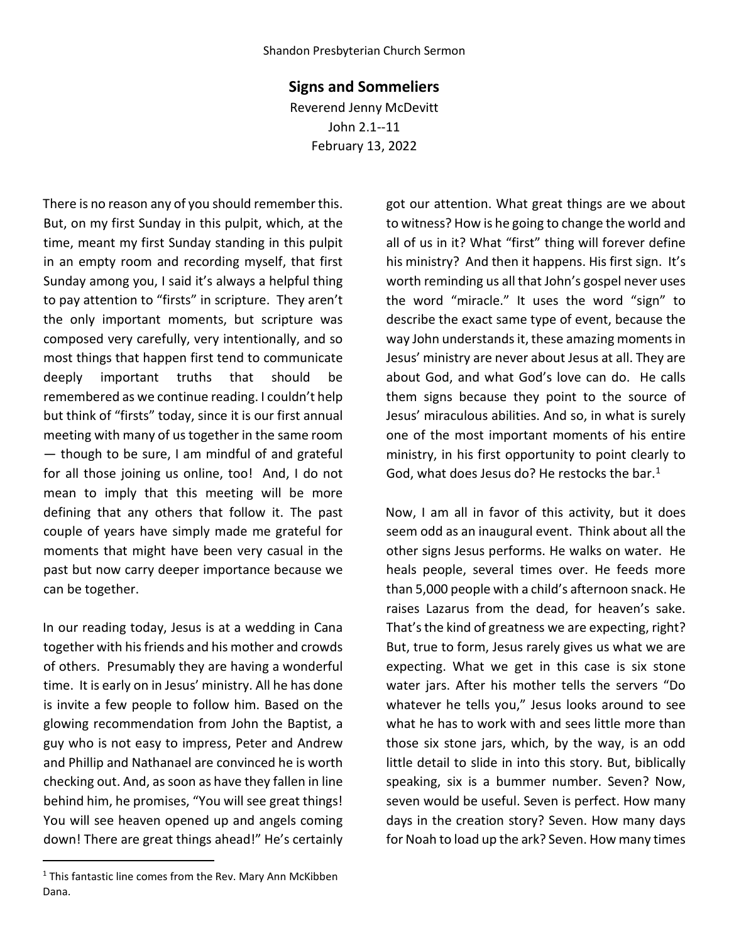## **Signs and Sommeliers**

Reverend Jenny McDevitt John 2.1--11 February 13, 2022

There is no reason any of you should remember this. But, on my first Sunday in this pulpit, which, at the time, meant my first Sunday standing in this pulpit in an empty room and recording myself, that first Sunday among you, I said it's always a helpful thing to pay attention to "firsts" in scripture. They aren't the only important moments, but scripture was composed very carefully, very intentionally, and so most things that happen first tend to communicate deeply important truths that should be remembered as we continue reading. I couldn't help but think of "firsts" today, since it is our first annual meeting with many of us together in the same room — though to be sure, I am mindful of and grateful for all those joining us online, too! And, I do not mean to imply that this meeting will be more defining that any others that follow it. The past couple of years have simply made me grateful for moments that might have been very casual in the past but now carry deeper importance because we can be together.

In our reading today, Jesus is at a wedding in Cana together with his friends and his mother and crowds of others. Presumably they are having a wonderful time. It is early on in Jesus' ministry. All he has done is invite a few people to follow him. Based on the glowing recommendation from John the Baptist, a guy who is not easy to impress, Peter and Andrew and Phillip and Nathanael are convinced he is worth checking out. And, as soon as have they fallen in line behind him, he promises, "You will see great things! You will see heaven opened up and angels coming down! There are great things ahead!" He's certainly got our attention. What great things are we about to witness? How is he going to change the world and all of us in it? What "first" thing will forever define his ministry? And then it happens. His first sign. It's worth reminding us all that John's gospel never uses the word "miracle." It uses the word "sign" to describe the exact same type of event, because the way John understands it, these amazing moments in Jesus' ministry are never about Jesus at all. They are about God, and what God's love can do. He calls them signs because they point to the source of Jesus' miraculous abilities. And so, in what is surely one of the most important moments of his entire ministry, in his first opportunity to point clearly to God, what does Jesus do? He restocks the bar. $1$ 

Now, I am all in favor of this activity, but it does seem odd as an inaugural event. Think about all the other signs Jesus performs. He walks on water. He heals people, several times over. He feeds more than 5,000 people with a child's afternoon snack. He raises Lazarus from the dead, for heaven's sake. That's the kind of greatness we are expecting, right? But, true to form, Jesus rarely gives us what we are expecting. What we get in this case is six stone water jars. After his mother tells the servers "Do whatever he tells you," Jesus looks around to see what he has to work with and sees little more than those six stone jars, which, by the way, is an odd little detail to slide in into this story. But, biblically speaking, six is a bummer number. Seven? Now, seven would be useful. Seven is perfect. How many days in the creation story? Seven. How many days for Noah to load up the ark? Seven. How many times

<span id="page-0-0"></span><sup>&</sup>lt;sup>1</sup> This fantastic line comes from the Rev. Mary Ann McKibben Dana.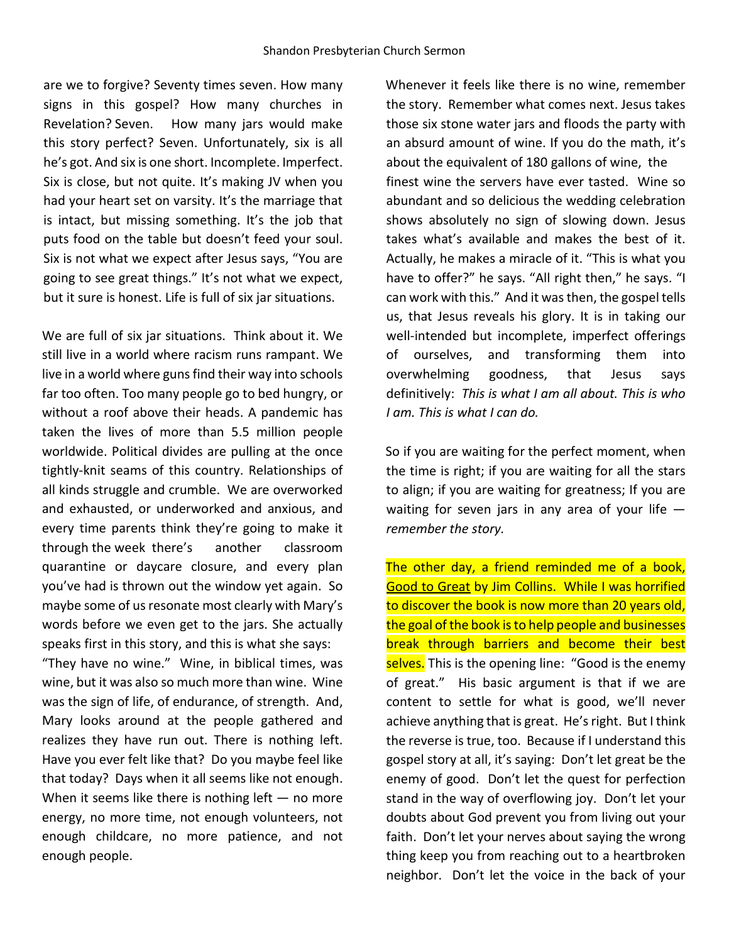are we to forgive? Seventy times seven. How many signs in this gospel? How many churches in Revelation? Seven. How many jars would make this story perfect? Seven. Unfortunately, six is all he's got. And six is one short. Incomplete. Imperfect. Six is close, but not quite. It's making JV when you had your heart set on varsity. It's the marriage that is intact, but missing something. It's the job that puts food on the table but doesn't feed your soul. Six is not what we expect after Jesus says, "You are going to see great things." It's not what we expect, but it sure is honest. Life is full of six jar situations.

We are full of six jar situations. Think about it. We still live in a world where racism runs rampant. We live in a world where guns find their way into schools far too often. Too many people go to bed hungry, or without a roof above their heads. A pandemic has taken the lives of more than 5.5 million people worldwide. Political divides are pulling at the once tightly-knit seams of this country. Relationships of all kinds struggle and crumble. We are overworked and exhausted, or underworked and anxious, and every time parents think they're going to make it through the week there's another classroom quarantine or daycare closure, and every plan you've had is thrown out the window yet again. So maybe some of us resonate most clearly with Mary's words before we even get to the jars. She actually speaks first in this story, and this is what she says:

"They have no wine." Wine, in biblical times, was wine, but it was also so much more than wine. Wine was the sign of life, of endurance, of strength. And, Mary looks around at the people gathered and realizes they have run out. There is nothing left. Have you ever felt like that? Do you maybe feel like that today? Days when it all seems like not enough. When it seems like there is nothing left  $-$  no more energy, no more time, not enough volunteers, not enough childcare, no more patience, and not enough people.

Whenever it feels like there is no wine, remember the story. Remember what comes next. Jesus takes those six stone water jars and floods the party with an absurd amount of wine. If you do the math, it's about the equivalent of 180 gallons of wine, the finest wine the servers have ever tasted. Wine so abundant and so delicious the wedding celebration shows absolutely no sign of slowing down. Jesus takes what's available and makes the best of it. Actually, he makes a miracle of it. "This is what you have to offer?" he says. "All right then," he says. "I can work with this." And it was then, the gospel tells us, that Jesus reveals his glory. It is in taking our well-intended but incomplete, imperfect offerings of ourselves, and transforming them into overwhelming goodness, that Jesus says definitively: *This is what I am all about. This is who I am. This is what I can do.* 

So if you are waiting for the perfect moment, when the time is right; if you are waiting for all the stars to align; if you are waiting for greatness; If you are waiting for seven jars in any area of your life  $$ *remember the story.* 

The other day, a friend reminded me of a book, Good to Great by Jim Collins. While I was horrified to discover the book is now more than 20 years old, the goal of the book is to help people and businesses break through barriers and become their best selves. This is the opening line: "Good is the enemy of great." His basic argument is that if we are content to settle for what is good, we'll never achieve anything that is great. He's right. But I think the reverse is true, too. Because if I understand this gospel story at all, it's saying: Don't let great be the enemy of good. Don't let the quest for perfection stand in the way of overflowing joy. Don't let your doubts about God prevent you from living out your faith. Don't let your nerves about saying the wrong thing keep you from reaching out to a heartbroken neighbor. Don't let the voice in the back of your